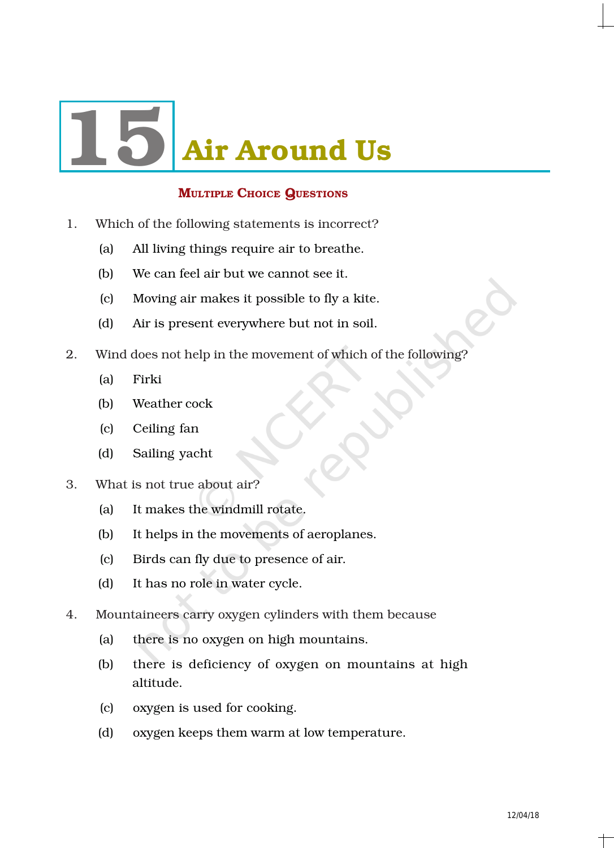

## **MULTIPLE CHOICE QUESTIONS**

- 1. Which of the following statements is incorrect?
	- (a) All living things require air to breathe.
	- (b) We can feel air but we cannot see it.
	- (c) Moving air makes it possible to fly a kite.
	- (d) Air is present everywhere but not in soil.
- 2. Wind does not help in the movement of which of the following?
	- (a) Firki
	- (b) Weather cock
	- (c) Ceiling fan
	- (d) Sailing yacht
- 3. What is not true about air?
	- (a) It makes the windmill rotate.
	- (b) It helps in the movements of aeroplanes.
	- (c) Birds can fly due to presence of air.
	- (d) It has no role in water cycle.
- 4. Mountaineers carry oxygen cylinders with them because
	- (a) there is no oxygen on high mountains.
	- (b) there is deficiency of oxygen on mountains at high altitude.
	- (c) oxygen is used for cooking.
	- (d) oxygen keeps them warm at low temperature.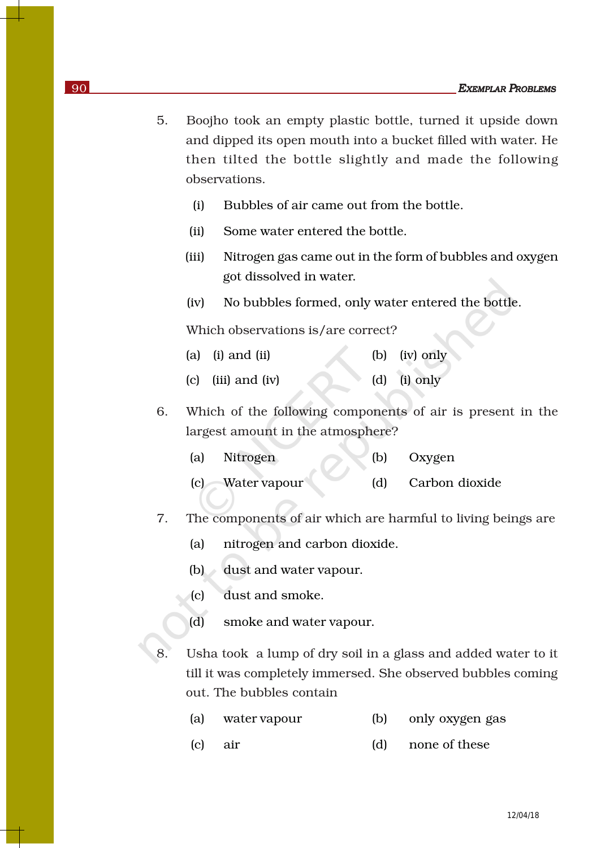- 5. Boojho took an empty plastic bottle, turned it upside down and dipped its open mouth into a bucket filled with water. He then tilted the bottle slightly and made the following observations.
	- (i) Bubbles of air came out from the bottle.
	- (ii) Some water entered the bottle.
	- (iii) Nitrogen gas came out in the form of bubbles and oxygen got dissolved in water.
	- (iv) No bubbles formed, only water entered the bottle.

Which observations is/are correct?

- (a) (i) and (ii) (b) (iv) only
- (c) (iii) and (iv) (d) (i) only
- 6. Which of the following components of air is present in the largest amount in the atmosphere?
	- (a) Nitrogen (b) Oxygen
	- (c) Water vapour (d) Carbon dioxide
- 7. The components of air which are harmful to living beings are
	- (a) nitrogen and carbon dioxide.
	- (b) dust and water vapour.
	- (c) dust and smoke.
	- (d) smoke and water vapour.
- 8. Usha took a lump of dry soil in a glass and added water to it till it was completely immersed. She observed bubbles coming out. The bubbles contain
	- (a) water vapour (b) only oxygen gas
	- (c) air (d) none of these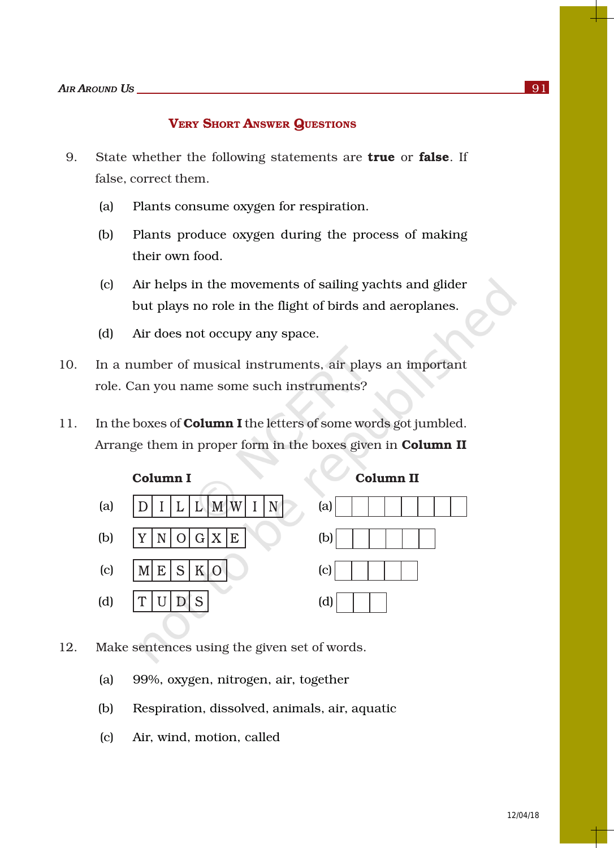## VERY SHORT ANSWER QUESTIONS

- 9. State whether the following statements are **true** or **false**. If false, correct them.
	- (a) Plants consume oxygen for respiration.
	- (b) Plants produce oxygen during the process of making their own food.
	- (c) Air helps in the movements of sailing yachts and glider but plays no role in the flight of birds and aeroplanes.
	- (d) Air does not occupy any space.
- 10. In a number of musical instruments, air plays an important role. Can you name some such instruments?
- 11. In the boxes of **Column I** the letters of some words got jumbled. Arrange them in proper form in the boxes given in Column II



12. Make sentences using the given set of words.

- (a) 99%, oxygen, nitrogen, air, together
- (b) Respiration, dissolved, animals, air, aquatic
- (c) Air, wind, motion, called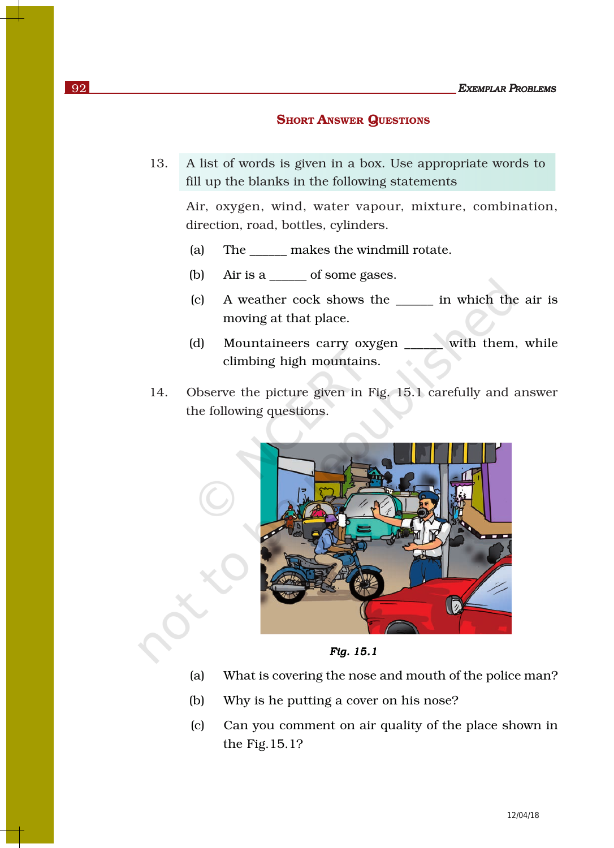## **SHORT ANSWER QUESTIONS**

13. A list of words is given in a box. Use appropriate words to fill up the blanks in the following statements

Air, oxygen, wind, water vapour, mixture, combination, direction, road, bottles, cylinders.

- (a) The \_\_\_\_\_\_ makes the windmill rotate.
- (b) Air is a \_\_\_\_\_\_ of some gases.
- (c) A weather cock shows the \_\_\_\_\_\_ in which the air is moving at that place.
- (d) Mountaineers carry oxygen with them, while climbing high mountains.
- 14. Observe the picture given in Fig. 15.1 carefully and answer the following questions.



*Fig. 15.1* 

- (a) What is covering the nose and mouth of the police man?
- (b) Why is he putting a cover on his nose?
- (c) Can you comment on air quality of the place shown in the Fig.15.1?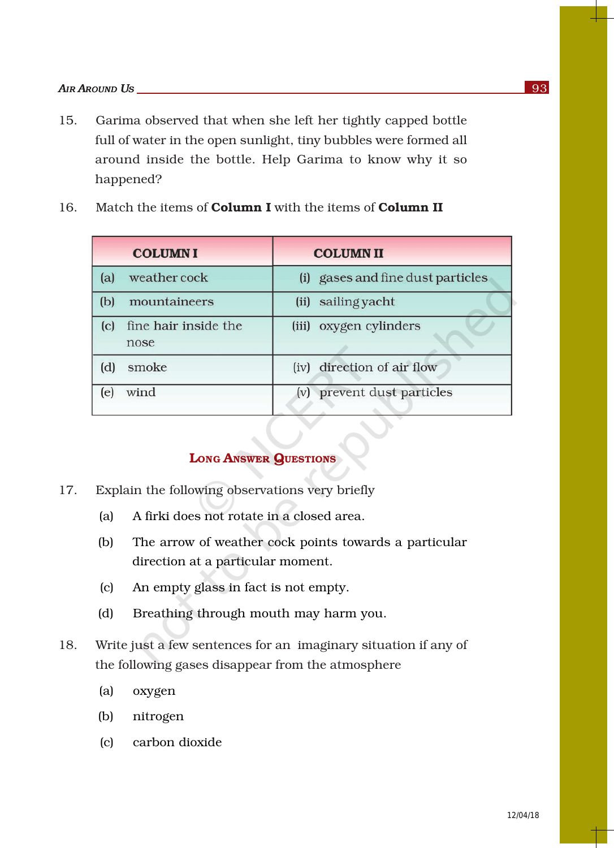- 15. Garima observed that when she left her tightly capped bottle full of water in the open sunlight, tiny bubbles were formed all around inside the bottle. Help Garima to know why it so happened?
	- **COLUMNI COLUMNII** weather cock (i) gases and fine dust particles  $(a)$ (b) mountaineers (ii) sailing yacht (c) fine hair inside the (iii) oxygen cylinders nose (iv) direction of air flow (d) smoke (e) wind (v) prevent dust particles
- 16. Match the items of **Column I** with the items of **Column II**

## LONG ANSWER QUESTIONS

- 17. Explain the following observations very briefly
	- (a) A firki does not rotate in a closed area.
	- (b) The arrow of weather cock points towards a particular direction at a particular moment.
	- (c) An empty glass in fact is not empty.
	- (d) Breathing through mouth may harm you.
- 18. Write just a few sentences for an imaginary situation if any of the following gases disappear from the atmosphere
	- (a) oxygen
	- (b) nitrogen
	- (c) carbon dioxide